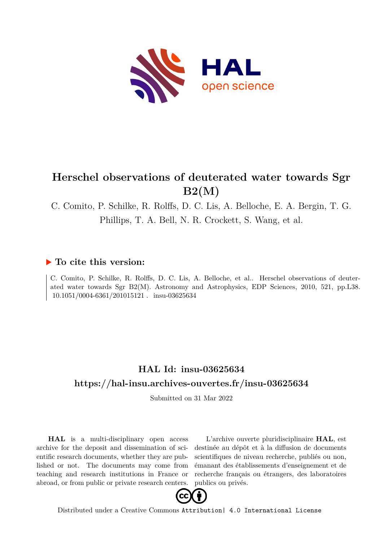

# **Herschel observations of deuterated water towards Sgr B2(M)**

C. Comito, P. Schilke, R. Rolffs, D. C. Lis, A. Belloche, E. A. Bergin, T. G. Phillips, T. A. Bell, N. R. Crockett, S. Wang, et al.

### **To cite this version:**

C. Comito, P. Schilke, R. Rolffs, D. C. Lis, A. Belloche, et al.. Herschel observations of deuterated water towards Sgr B2(M). Astronomy and Astrophysics, EDP Sciences, 2010, 521, pp.L38. 10.1051/0004-6361/201015121 . insu-03625634

# **HAL Id: insu-03625634 <https://hal-insu.archives-ouvertes.fr/insu-03625634>**

Submitted on 31 Mar 2022

**HAL** is a multi-disciplinary open access archive for the deposit and dissemination of scientific research documents, whether they are published or not. The documents may come from teaching and research institutions in France or abroad, or from public or private research centers.

L'archive ouverte pluridisciplinaire **HAL**, est destinée au dépôt et à la diffusion de documents scientifiques de niveau recherche, publiés ou non, émanant des établissements d'enseignement et de recherche français ou étrangers, des laboratoires publics ou privés.



Distributed under a Creative Commons [Attribution| 4.0 International License](http://creativecommons.org/licenses/by/4.0/)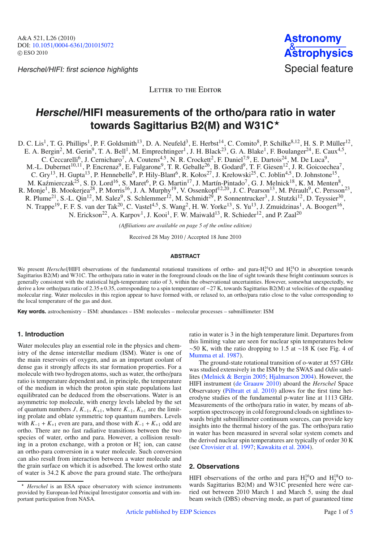Herschel/HIFI: first science highlights Special feature



LETTER TO THE EDITOR

## **Herschel/HIFI measurements of the ortho/para ratio in water towards Sagittarius B2(M) and W31C**-

D. C. Lis<sup>1</sup>, T. G. Phillips<sup>1</sup>, P. F. Goldsmith<sup>13</sup>, D. A. Neufeld<sup>3</sup>, E. Herbst<sup>14</sup>, C. Comito<sup>8</sup>, P. Schilke<sup>8,12</sup>, H. S. P. Müller<sup>12</sup>, E. A. Bergin<sup>2</sup>, M. Gerin<sup>9</sup>, T. A. Bell<sup>1</sup>, M. Emprechtinger<sup>1</sup>, J. H. Black<sup>23</sup>, G. A. Blake<sup>1</sup>, F. Boulanger<sup>24</sup>, E. Caux<sup>4,5</sup>, C. Ceccarelli<sup>6</sup>, J. Cernicharo<sup>7</sup>, A. Coutens<sup>4.5</sup>, N. R. Crockett<sup>2</sup>, F. Daniel<sup>7,9</sup>, E. Dartois<sup>24</sup>, M. De Luca<sup>9</sup>, M.-L. Dubernet<sup>10,11</sup>, P. Encrenaz<sup>9</sup>, E. Falgarone<sup>9</sup>, T. R. Geballe<sup>26</sup>, B. Godard<sup>9</sup>, T. F. Giesen<sup>12</sup>, J. R. Goicoechea<sup>7</sup>, C. Gry<sup>13</sup>, H. Gupta<sup>13</sup>, P. Hennebelle<sup>9</sup>, P. Hily-Blant<sup>6</sup>, R. Kołos<sup>27</sup>, J. Krełowski<sup>25</sup>, C. Joblin<sup>4,5</sup>, D. Johnstone<sup>15</sup>, M. Kaźmierczak<sup>25</sup>, S. D. Lord<sup>16</sup>, S. Maret<sup>6</sup>, P. G. Martin<sup>17</sup>, J. Martín-Pintado<sup>7</sup>, G. J. Melnick<sup>18</sup>, K. M. Menten<sup>8</sup>, R. Monje<sup>1</sup>, B. Mookerjea<sup>28</sup>, P. Morris<sup>16</sup>, J. A. Murphy<sup>19</sup>, V. Ossenkopf<sup>12,20</sup>, J. C. Pearson<sup>13</sup>, M. Pérault<sup>9</sup>, C. Persson<sup>23</sup>, R. Plume<sup>21</sup>, S.-L. Qin<sup>12</sup>, M. Salez<sup>9</sup>, S. Schlemmer<sup>12</sup>, M. Schmidt<sup>29</sup>, P. Sonnentrucker<sup>3</sup>, J. Stutzki<sup>12</sup>, D. Teyssier<sup>30</sup>, N. Trappe<sup>19</sup>, F. F. S. van der Tak<sup>20</sup>, C. Vastel<sup>4,5</sup>, S. Wang<sup>2</sup>, H. W. Yorke<sup>13</sup>, S. Yu<sup>13</sup>, J. Zmuidzinas<sup>1</sup>, A. Boogert<sup>16</sup>, N. Erickson<sup>22</sup>, A. Karpov<sup>1</sup>, J. Kooi<sup>1</sup>, F. W. Maiwald<sup>13</sup>, R. Schieder<sup>12</sup>, and P. Zaal<sup>20</sup>

*(A*ffi*liations are available on page 5 of the online edition)*

Received 28 May 2010 / Accepted 18 June 2010

#### **ABSTRACT**

We present *Herschel*/HIFI observations of the fundamental rotational transitions of ortho- and para- $H_2^{16}O$  and  $H_2^{18}O$  in absorption towards Sagittarius B2(M) and W31C. The ortho/para ratio in water in the foreground clouds on the line of sight towards these bright continuum sources is generally consistent with the statistical high-temperature ratio of 3, within the observational uncertainties. However, somewhat unexpectedly, we derive a low ortho/para ratio of 2.35±0.35, corresponding to a spin temperature of ∼27 K, towards Sagittarius B2(M) at velocities of the expanding molecular ring. Water molecules in this region appear to have formed with, or relaxed to, an ortho/para ratio close to the value corresponding to the local temperature of the gas and dust.

**Key words.** astrochemistry – ISM: abundances – ISM: molecules – molecular processes – submillimeter: ISM

### **1. Introduction**

Water molecules play an essential role in the physics and chemistry of the dense interstellar medium (ISM). Water is one of the main reservoirs of oxygen, and as an important coolant of dense gas it strongly affects its star formation properties. For a molecule with two hydrogen atoms, such as water, the ortho/para ratio is temperature dependent and, in principle, the temperature of the medium in which the proton spin state populations last equilibrated can be deduced from the observations. Water is an asymmetric top molecule, with energy levels labeled by the set of quantum numbers *J*,  $K_{-1}$ ,  $K_{+1}$ , where  $K_{-1}$ ,  $K_{+1}$  are the limiting prolate and oblate symmetric top quantum numbers. Levels with  $K_{-1} + K_{+1}$  even are para, and those with  $K_{-1} + K_{+1}$  odd are ortho. There are no fast radiative transitions between the two species of water, ortho and para. However, a collision resulting in a proton exchange, with a proton or  $H_3^+$  ion, can cause an ortho-para conversion in a water molecule. Such conversion can also result from interaction between a water molecule and the grain surface on which it is adsorbed. The lowest ortho state of water is 34.2 K above the para ground state. The ortho/para

ratio in water is 3 in the high temperature limit. Departures from this limiting value are seen for nuclear spin temperatures below  $~\sim$ 50 K, with the ratio dropping to 1.5 at ∼18 K (see Fig. 4 of Mumma et al. 1987).

The ground-state rotational transition of o-water at 557 GHz was studied extensively in the ISM by the SWAS and *Odin* satellites (Melnick & Bergin 2005; Hjalmarson 2004). However, the HIFI instrument (de Graauw 2010) aboard the *Herschel* Space Observatory (Pilbratt et al. 2010) allows for the first time heterodyne studies of the fundamental p-water line at 1113 GHz. Measurements of the ortho/para ratio in water, by means of absorption spectroscopy in cold foreground clouds on sightlines towards bright submillimeter continuum sources, can provide key insights into the thermal history of the gas. The ortho/para ratio in water has been measured in several solar system comets and the derived nuclear spin temperatures are typically of order 30 K (see Crovisier et al. 1997; Kawakita et al. 2004).

#### **2. Observations**

HIFI observations of the ortho and para  $H_2^{16}O$  and  $H_2^{18}O$  towards Sagittarius B2(M) and W31C presented here were carried out between 2010 March 1 and March 5, using the dual beam switch (DBS) observing mode, as part of guaranteed time

<sup>-</sup> *Herschel* is an ESA space observatory with science instruments provided by European-led Principal Investigator consortia and with important participation from NASA.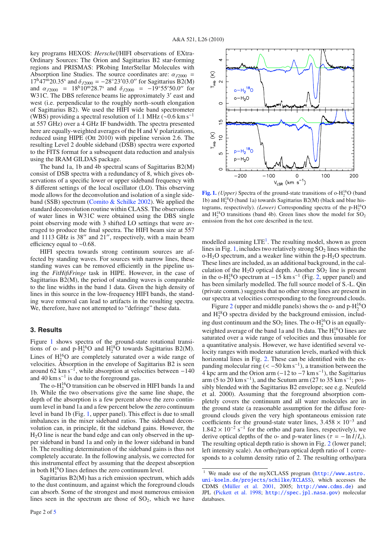key programs HEXOS: *Herschel*/HIFI observations of EXtra-Ordinary Sources: The Orion and Sagittarius B2 star-forming regions and PRISMAS: PRobing InterStellar Molecules with Absorption line Studies. The source coordinates are:  $\alpha_{12000}$  =  $17^{\text{h}}47^{\text{m}}20.35^{\text{s}}$  and  $\delta_{J2000} = -28^{\circ}23'03.0''$  for Sagittarius B2(M) and  $\alpha_{J2000}$  = 18<sup>h</sup>10<sup>m</sup>28.7<sup>s</sup> and  $\delta_{J2000}$  = −19°55′50.0" for W31C. The DBS reference beams lie approximately 3' east and west (i.e. perpendicular to the roughly north–south elongation of Sagittarius B2). We used the HIFI wide band spectrometer (WBS) providing a spectral resolution of 1.1 MHz ( $\sim$ 0.6 km s<sup>-1</sup> at 557 GHz) over a 4 GHz IF bandwidth. The spectra presented here are equally-weighted averages of the H and V polarizations, reduced using HIPE (Ott 2010) with pipeline version 2.6. The resulting Level 2 double sideband (DSB) spectra were exported to the FITS format for a subsequent data reduction and analysis using the IRAM GILDAS package.

The band 1a, 1b and 4b spectral scans of Sagittarius B2(M) consist of DSB spectra with a redundancy of 8, which gives observations of a specific lower or upper sideband frequency with 8 different settings of the local oscillator (LO). This observing mode allows for the deconvolution and isolation of a single sideband (SSB) spectrum (Comito & Schilke 2002). We applied the standard deconvolution routine within CLASS. The observations of water lines in W31C were obtained using the DBS single point observing mode with 3 shifted LO settings that were averaged to produce the final spectra. The HIFI beam size at 557 and 1113 GHz is  $38''$  and  $21''$ , respectively, with a main beam efficiency equal to ∼0.68.

HIFI spectra towards strong continuum sources are affected by standing waves. For sources with narrow lines, these standing waves can be removed efficiently in the pipeline using the *FitHifiFringe* task in HIPE. However, in the case of Sagittarius B2(M), the period of standing waves is comparable to the line widths in the band 1 data. Given the high density of lines in this source in the low-frequency HIFI bands, the standing wave removal can lead to artifacts in the resulting spectra. We, therefore, have not attempted to "defringe" these data.

### **3. Results**

Figure 1 shows spectra of the ground-state rotational transitions of o- and  $p-H_2^{16}O$  and  $H_2^{18}O$  towards Sagittarius B2(M). Lines of  $H_2^{16}O$  are completely saturated over a wide range of velocities. Absorption in the envelope of Sagittarius B2 is seen around 62 km s<sup>-1</sup>, while absorption at velocities between  $-140$ and 40 km s−<sup>1</sup> is due to the foreground gas.

The o-H<sup>16</sup>O transition can be observed in HIFI bands 1a and 1b. While the two observations give the same line shape, the depth of the absorption is a few percent above the zero continuum level in band 1a and a few percent below the zero continuum level in band 1b (Fig. 1, upper panel). This effect is due to small imbalances in the mixer sideband ratios. The sideband deconvolution can, in principle, fit the sideband gains. However, the  $H<sub>2</sub>O$  line is near the band edge and can only observed in the upper sideband in band 1a and only in the lower sideband in band 1b. The resulting determination of the sideband gains is thus not completely accurate. In the following analysis, we corrected for this instrumental effect by assuming that the deepest absorption in both  $H_2^{16}O$  lines defines the zero continuum level.

Sagittarius B2(M) has a rich emission spectrum, which adds to the dust continuum, and against which the foreground clouds can absorb. Some of the strongest and most numerous emission lines seen in the spectrum are those of  $SO<sub>2</sub>$ , which we have



**[Fig. 1.](http://dexter.edpsciences.org/applet.php?DOI=10.1051/0004-6361/201015072&pdf_id=1)** *(Upper)* Spectra of the ground-state transitions of  $o\text{-}H_2^{16}\text{O}$  (band 1b) and H<sup>18</sup> <sup>2</sup> O (band 1a) towards Sagittarius B2(M) (black and blue histograms, respectively). *(Lower)* Corresponding spectra of the  $p-H_2^{16}O$ and  $H_2^{18}O$  transitions (band 4b). Green lines show the model for  $SO_2$ emission from the hot core described in the text.

modelled assuming  $LTE^1$ . The resulting model, shown as green lines in Fig. 1, includes two relatively strong  $SO<sub>2</sub>$  lines within the  $o-H_2O$  spectrum, and a weaker line within the  $p-H_2O$  spectrum. These lines are included, as an additional background, in the calculation of the  $H_2O$  optical depth. Another  $SO_2$  line is present in the o-H<sub>2</sub><sup>8</sup>O spectrum at  $-15$  km s<sup>-1</sup> (Fig. 2, upper panel) and has been similarly modelled. The full source model of S.-L. Qin (private comm.) suggests that no other strong lines are present in our spectra at velocities corresponding to the foreground clouds.

Figure 2 (upper and middle panels) shows the o- and  $p-H_2^{16}O$ and  $H_2^{18}O$  spectra divided by the background emission, including dust continuum and the SO<sub>2</sub> lines. The o-H<sub>2</sub><sup>16</sup>O is an equallyweighted average of the band 1a and 1b data. The  $H_2^{16}O$  lines are saturated over a wide range of velocities and thus unusable for a quantitative analysis. However, we have identified several velocity ranges with moderate saturation levels, marked with thick horizontal lines in Fig. 2. These can be identified with the expanding molecular ring  $(< -50 \text{ km s}^{-1})$ , a transition between the 4 kpc arm and the Orion arm ( $-12$  to  $-7$  km s<sup>-1</sup>), the Sagittarius arm (5 to 20 km s<sup>-1</sup>), and the Scutum arm (27 to 35 km s<sup>-1</sup>; possibly blended with the Sagittarius B2 envelope; see e.g. Neufeld et al. 2000). Assuming that the foreground absorption completely covers the continuum and all water molecules are in the ground state (a reasonable assumption for the diffuse foreground clouds given the very high spontaneous emission rate coefficients for the ground-state water lines,  $3.458 \times 10^{-3}$  and  $1.842 \times 10^{-2}$  s<sup>-1</sup> for the ortho and para lines, respectively), we derive optical depths of the o- and p-water lines ( $\tau = -\ln I/I_o$ ). The resulting optical depth ratio is shown in Fig. 2 (lower panel; left intensity scale). An ortho/para optical depth ratio of 1 corresponds to a column density ratio of 2. The resulting ortho/para

We made use of the myXCLASS program ([http://www.astro.](http://www.astro.uni-koeln.de/projects/schilke/XCLASS) [uni-koeln.de/projects/schilke/XCLASS](http://www.astro.uni-koeln.de/projects/schilke/XCLASS)), which accesses the CDMS (Müller et al. 2001, 2005; <http://www.cdms.de>) and JPL (Pickett et al. 1998; <http://spec.jpl.nasa.gov>) molecular databases.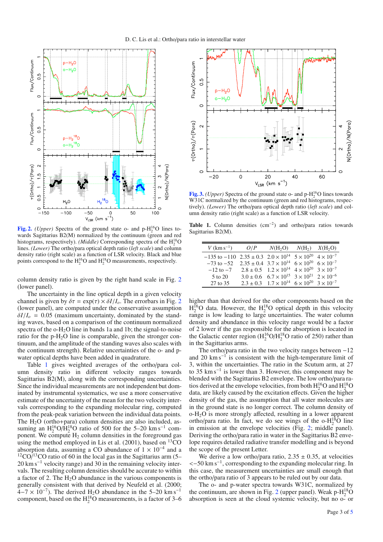

**[Fig. 2.](http://dexter.edpsciences.org/applet.php?DOI=10.1051/0004-6361/201015072&pdf_id=2)** *(Upper)* Spectra of the ground state o- and  $p-H_2^{16}O$  lines towards Sagittarius B2(M) normalized by the continuum (green and red histograms, respectively). *(Middle)* Corresponding spectra of the  $H_2^{18}O$ lines. *(Lower)* The ortho/para optical depth ratio (*left scale*) and column density ratio (right scale) as a function of LSR velocity. Black and blue points correspond to the  $H_2^{16}O$  and  $H_2^{18}O$  measurements, respectively.

column density ratio is given by the right hand scale in Fig. 2 (lower panel).

The uncertainty in the line optical depth in a given velocity channel is given by  $\delta \tau = \exp(\tau) \times \delta I/I_o$ . The errorbars in Fig. 2 (lower panel), are computed under the conservative assumption  $\delta I/I_o = 0.05$  (maximum uncertainty, dominated by the standing waves, based on a comparison of the continuum normalized spectra of the  $o-H_2O$  line in bands 1a and 1b; the signal-to-noise ratio for the p-H2O line is comparable, given the stronger continuum, and the amplitude of the standing waves also scales with the continuum strength). Relative uncertainties of the o- and pwater optical depths have been added in quadrature.

Table 1 gives weighted averages of the ortho/para column density ratio in different velocity ranges towards Sagittarius B2(M), along with the corresponding uncertainties. Since the individual measurements are not independent but dominated by instrumental systematics, we use a more conservative estimate of the uncertainty of the mean for the two velocity intervals corresponding to the expanding molecular ring, computed from the peak-peak variation between the individual data points. The  $H_2O$  (ortho+para) column densities are also included, assuming an  $H_2^{16}O/H_2^{18}O$  ratio of 500 for the 5–20 km s<sup>-1</sup> component. We compute  $H_2$  column densities in the foreground gas using the method employed in Lis et al.  $(2001)$ , based on <sup>13</sup>CO absorption data, assuming a CO abundance of  $1 \times 10^{-4}$  and a  $12\text{CO}$ <sup>13</sup>CO ratio of 60 in the local gas in the Sagittarius arm (5– 20 km s<sup>-1</sup> velocity range) and 30 in the remaining velocity intervals. The resulting column densities should be accurate to within a factor of 2. The  $H_2O$  abundance in the various components is generally consistent with that derived by Neufeld et al. (2000;  $4-7 \times 10^{-7}$ ). The derived H<sub>2</sub>O abundance in the 5–20 km s<sup>-1</sup> component, based on the  $\mathrm{H}_2^{18}\mathrm{O}$  measurements, is a factor of 3–6



[Fig. 3.](http://dexter.edpsciences.org/applet.php?DOI=10.1051/0004-6361/201015072&pdf_id=3) *(Upper)* Spectra of the ground state o- and  $p-H_2^{16}O$  lines towards W31C normalized by the continuum (green and red histograms, respectively). *(Lower)* The ortho/para optical depth ratio (*left scale*) and column density ratio (right scale) as a function of LSR velocity.

**Table 1.** Column densities (cm−2) and ortho/para ratios towards Sagittarius B2(M).

| $V$ (km s <sup>-1</sup> )                                                                    | O/P | $N(H_2O)$ $N(H_2)$ $X(H_2O)$                                             |  |
|----------------------------------------------------------------------------------------------|-----|--------------------------------------------------------------------------|--|
| $-135$ to $-110$ 2.35 ± 0.3 2.0 × 10 <sup>14</sup> 5 × 10 <sup>20</sup> 4 × 10 <sup>-7</sup> |     |                                                                          |  |
| $-73$ to $-52$ $2.35 \pm 0.4$ $3.7 \times 10^{14}$ $6 \times 10^{20}$ $6 \times 10^{-7}$     |     |                                                                          |  |
| $-12$ to $-7$                                                                                |     | $2.8 \pm 0.5$ $1.2 \times 10^{14}$ $4 \times 10^{20}$ $3 \times 10^{-7}$ |  |
| 5 to 20                                                                                      |     | $3.0 \pm 0.6$ $6.7 \times 10^{15}$ $3 \times 10^{21}$ $2 \times 10^{-6}$ |  |
| 27 to 35                                                                                     |     | $2.3 \pm 0.3$ $1.7 \times 10^{14}$ $6 \times 10^{20}$ $3 \times 10^{-7}$ |  |

higher than that derived for the other components based on the  $H_2^{16}$ O data. However, the  $H_2^{18}$ O optical depth in this velocity range is low leading to large uncertainties. The water column density and abundance in this velocity range would be a factor of 2 lower if the gas responsible for the absorption is located in the Galactic center region  $(H_2^{16}O/H_2^{18}O)$  ratio of 250) rather than in the Sagittarius arms.

The ortho/para ratio in the two velocity ranges between  $-12$ and 20 km s<sup> $-1$ </sup> is consistent with the high-temperature limit of 3, within the uncertainties. The ratio in the Scutum arm, at 27 to 35 km s−<sup>1</sup> is lower than 3. However, this component may be blended with the Sagittarius B2 envelope. The low ortho/para ratios derived at the envelope velocities, from both  $H_2^{16}O$  and  $H_2^{18}O$ data, are likely caused by the excitation effects. Given the higher density of the gas, the assumption that all water molecules are in the ground state is no longer correct. The column density of o-H2O is more strongly affected, resulting in a lower apparent ortho/para ratio. In fact, we do see wings of the  $o-H_2^{18}O$  line in emission at the envelope velocities (Fig. 2; middle panel). Deriving the ortho/para ratio in water in the Sagittarius B2 envelope requires detailed radiative transfer modelling and is beyond the scope of the present Letter.

We derive a low ortho/para ratio,  $2.35 \pm 0.35$ , at velocities <−50 km s−1, corresponding to the expanding molecular ring. In this case, the measurement uncertainties are small enough that the ortho/para ratio of 3 appears to be ruled out by our data.

The o- and p-water spectra towards W31C, normalized by the continuum, are shown in Fig. 2 (upper panel). Weak  $p-H_2^{18}O$ absorption is seen at the cloud systemic velocity, but no o- or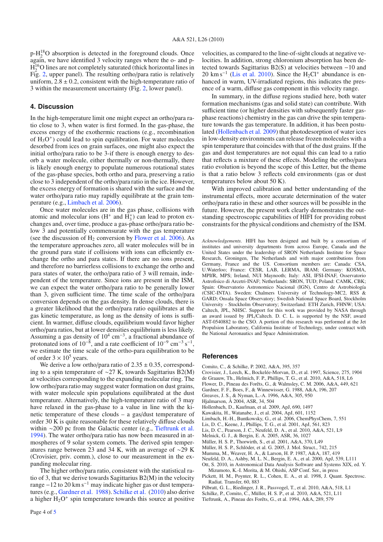$p-H_2^{18}O$  absorption is detected in the foreground clouds. Once again, we have identified 3 velocity ranges where the o- and p- $H_2^{16}$ O lines are not completely saturated (thick horizontal lines in Fig. 2, upper panel). The resulting ortho/para ratio is relatively uniform,  $2.8 \pm 0.2$ , consistent with the high-temperature ratio of 3 within the measurement uncertainty (Fig. 2, lower panel).

### **4. Discussion**

In the high-temperature limit one might expect an ortho/para ratio close to 3, when water is first formed. In the gas-phase, the excess energy of the exothermic reactions (e.g., recombination of  $H_3O^+$ ) could lead to spin equilibration. For water molecules desorbed from ices on grain surfaces, one might also expect the initial ortho/para ratio to be 3-if there is enough energy to desorb a water molecule, either thermally or non-thermally, there is likely enough energy to populate numerous rotational states of the gas-phase species, both ortho and para, preserving a ratio close to 3 independent of the ortho/para ratio in the ice. However, the excess energy of formation is shared with the surface and the water ortho/para ratio may rapidly equilibrate at the grain temperature (e.g., Limbach et al. 2006).

Once water molecules are in the gas phase, collisions with atomic and molecular ions  $(H^+$  and  $H_3^+)$  can lead to proton exchanges and, over time, produce a gas-phase ortho/para ratio below 3 and potentially commensurate with the gas temperature (see the discussion of  $H_2$  conversion by Flower et al. 2006). As the temperature approaches zero, all water molecules will be in the ground para state if collisions with ions can efficiently exchange the ortho and para states. If there are no ions present, and therefore no barrierless collisions to exchange the ortho and para states of water, the ortho/para ratio of 3 will remain, independent of the temperature. Since ions are present in the ISM, we can expect the water ortho/para ratio to be generally lower than 3, given sufficient time. The time scale of the ortho/para conversion depends on the gas density. In dense clouds, there is a greater likelihood that the ortho/para ratio equilibrates at the gas kinetic temperature, as long as the density of ions is sufficient. In warmer, diffuse clouds, equilibrium would favor higher ortho/para ratios, but at lower densities equilibrium is less likely. Assuming a gas density of 10<sup>4</sup> cm−3, a fractional abundance of protonated ions of  $10^{-8}$ , and a rate coefficient of  $10^{-9}$  cm<sup>-3</sup> s<sup>-1</sup>, we estimate the time scale of the ortho-para equilibration to be of order  $3 \times 10^5$  years.

We derive a low ortho/para ratio of  $2.35 \pm 0.35$ , corresponding to a spin temperature of ∼27 K, towards Sagittarius B2(M) at velocities corresponding to the expanding molecular ring. The low ortho/para ratio may suggest water formation on dust grains, with water molecule spin populations equilibrated at the dust temperature. Alternatively, the high-temperature ratio of 3 may have relaxed in the gas-phase to a value in line with the kinetic temperature of these clouds – a gas/dust temperature of order  $30 \text{ K}$  is quite reasonable for these relatively diffuse clouds within ∼200 pc from the Galactic center (e.g., Tieftrunk et al. 1994). The water ortho/para ratio has now been measured in atmospheres of 9 solar system comets. The derived spin temperatures range between 23 and 34 K, with an average of ∼29 K (Crovisier, priv. comm.), close to our measurement in the expanding molecular ring.

The higher ortho/para ratio, consistent with the statistical ratio of 3, that we derive towards Sagittarius B2(M) in the velocity range  $-12$  to 20 km s<sup> $-1$ </sup> may indicate higher gas or dust temperatures (e.g., Gardner et al. 1988). Schilke et al. (2010) also derive a higher  $H_2O^+$  spin temperature towards this source at positive

Page 4 of 5

velocities, as compared to the line-of-sight clouds at negative velocities. In addition, strong chloronium absorption has been detected towards Sagittarius B2(S) at velocities between −10 and 20 km s<sup>-1</sup> (Lis et al. 2010). Since the H<sub>2</sub>Cl<sup>+</sup> abundance is enhanced in warm, UV-irradiated regions, this indicates the presence of a warm, diffuse gas component in this velocity range.

In summary, in the diffuse regions studied here, both water formation mechanisms (gas and solid state) can contribute. With sufficient time (or higher densities with subsequently faster gasphase reactions) chemistry in the gas can drive the spin temperature towards the gas temperature. In addition, it has been postulated (Hollenbach et al. 2009) that photodesorption of water ices in low-density environments can release frozen molecules with a spin temperature that coincides with that of the dust grains. If the gas and dust temperatures are not equal this can lead to a ratio that reflects a mixture of these effects. Modeling the ortho/para ratio evolution is beyond the scope of this Letter, but the theme is that a ratio below 3 reflects cold environments (gas or dust temperatures below about 50 K).

With improved calibration and better understanding of the instrumental effects, more accurate determination of the water ortho/para ratio in these and other sources will be possible in the future. However, the present work clearly demonstrates the outstanding spectroscopic capabilities of HIFI for providing robust constraints for the physical conditions and chemistry of the ISM.

*Acknowledgements.* HIFI has been designed and built by a consortium of institutes and university departments from across Europe, Canada and the United States under the leadership of SRON Netherlands Institute for Space Research, Groningen, The Netherlands and with major contributions from Germany, France and the US. Consortium members are: Canada: CSA, U.Waterloo; France: CESR, LAB, LERMA, IRAM; Germany: KOSMA, MPIfR, MPS; Ireland, NUI Maynooth; Italy: ASI, IFSI-INAF, Osservatorio Astrofisico di Arcetri-INAF; Netherlands: SRON, TUD; Poland: CAMK, CBK; Spain: Observatorio Astronomico Nacional (IGN), Centro de Astrobiología (CSIC-INTA). Sweden: Chalmers University of Technology-MC2, RSS & GARD; Onsala Space Observatory; Swedish National Space Board, Stockholm University - Stockholm Observatory; Switzerland: ETH Zurich, FHNW; USA: Caltech, JPL, NHSC. Support for this work was provided by NASA through an award issued by JPL/Caltech. D. C. L. is supported by the NSF, award AST-0540882 to the CSO. A portion of this research was performed at the Jet Propulsion Laboratory, California Institute of Technology, under contract with the National Aeronautics and Space Administration.

#### **References**

- Comito, C., & Schilke, P. 2002, A&A, 395, 357
- Crovisier, J., Leech, K., Bockelée-Morvan, D., et al. 1997, Science, 275, 1904
- de Graauw, Th., Helmich, F. P., Phillips, T. G., et al. 2010, A&A, 518, L6
- Flower, D., Pineau des Forêts, G., & Walmsley, C. M. 2006, A&A, 449, 621
- Gardner, F. F., Boes, F., & Winnewisser, G. 1988, A&A, 196, 207 Greaves, J. S., & Nyman, L.-A. 1996, A&A, 305, 950
- Hjalmarson, Å 2004, ASR, 34, 504
- Hollenbach, D., Kaufman, et al. 2009, ApJ, 690, 1497
- Kawakita, H., Watanabe, J., et al. 2004, ApJ, 601, 1152
- Limbach, H.-H., Buntkowsky, G., et al. 2006, ChemPhysChem, 7, 551
- Lis, D. C., Keene, J., Phillips, T. G., et al. 2001, ApJ, 561, 823
- Lis, D. C., Pearson, J. C., Neufeld, D. A., et al. 2010, A&A, 521, L9
- Melnick, G. J., & Bergin, E. A. 2005, ASR, 36, 1027
- Müller, H. S. P., Thorwirth, S., et al. 2001, A&A, 370, L49
- Müller, H. S. P., Schlöder, et al. G. 2005, J. Mol. Struct., 742, 215
- Mumma, M., Weaver, H. A., & Larson, H. P. 1987, A&A, 187, 419
- 
- Neufeld, D. A., Ashby, M. L. N., Bergin, E. A., et al. 2000, ApJ, 539, L111 Ott, S. 2010, in Astronomical Data Analysis Software and Systems XIX, ed. Y. Mizumoto, K.-I. Morita, & M. Ohishi, ASP Conf. Ser., in press
- Pickett, H. M., Poynter, R. L., Cohen, E. A., et al. 1998, J. Quant. Spectrosc. Radiat. Transfer, 60, 883
- Pilbratt, G. L., Riedinger, J. R., Passvogel, T., et al. 2010, A&A, 518, L1
- Schilke, P., Comito, C., Müller, H. S. P., et al. 2010, A&A, 521, L11
- Tieftrunk, A., Pineau des Forêts, G., et al. 1994, A&A, 289, 579